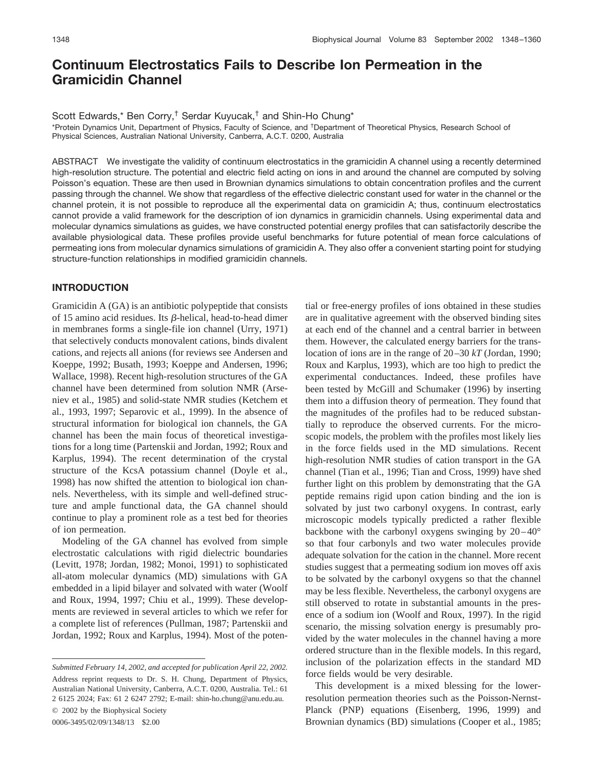# **Continuum Electrostatics Fails to Describe Ion Permeation in the Gramicidin Channel**

Scott Edwards,\* Ben Corry,† Serdar Kuyucak,† and Shin-Ho Chung\*

\*Protein Dynamics Unit, Department of Physics, Faculty of Science, and † Department of Theoretical Physics, Research School of Physical Sciences, Australian National University, Canberra, A.C.T. 0200, Australia

ABSTRACT We investigate the validity of continuum electrostatics in the gramicidin A channel using a recently determined high-resolution structure. The potential and electric field acting on ions in and around the channel are computed by solving Poisson's equation. These are then used in Brownian dynamics simulations to obtain concentration profiles and the current passing through the channel. We show that regardless of the effective dielectric constant used for water in the channel or the channel protein, it is not possible to reproduce all the experimental data on gramicidin A; thus, continuum electrostatics cannot provide a valid framework for the description of ion dynamics in gramicidin channels. Using experimental data and molecular dynamics simulations as guides, we have constructed potential energy profiles that can satisfactorily describe the available physiological data. These profiles provide useful benchmarks for future potential of mean force calculations of permeating ions from molecular dynamics simulations of gramicidin A. They also offer a convenient starting point for studying structure-function relationships in modified gramicidin channels.

## **INTRODUCTION**

Gramicidin A (GA) is an antibiotic polypeptide that consists of 15 amino acid residues. Its  $\beta$ -helical, head-to-head dimer in membranes forms a single-file ion channel (Urry, 1971) that selectively conducts monovalent cations, binds divalent cations, and rejects all anions (for reviews see Andersen and Koeppe, 1992; Busath, 1993; Koeppe and Andersen, 1996; Wallace, 1998). Recent high-resolution structures of the GA channel have been determined from solution NMR (Arseniev et al., 1985) and solid-state NMR studies (Ketchem et al., 1993, 1997; Separovic et al., 1999). In the absence of structural information for biological ion channels, the GA channel has been the main focus of theoretical investigations for a long time (Partenskii and Jordan, 1992; Roux and Karplus, 1994). The recent determination of the crystal structure of the KcsA potassium channel (Doyle et al., 1998) has now shifted the attention to biological ion channels. Nevertheless, with its simple and well-defined structure and ample functional data, the GA channel should continue to play a prominent role as a test bed for theories of ion permeation.

Modeling of the GA channel has evolved from simple electrostatic calculations with rigid dielectric boundaries (Levitt, 1978; Jordan, 1982; Monoi, 1991) to sophisticated all-atom molecular dynamics (MD) simulations with GA embedded in a lipid bilayer and solvated with water (Woolf and Roux, 1994, 1997; Chiu et al., 1999). These developments are reviewed in several articles to which we refer for a complete list of references (Pullman, 1987; Partenskii and Jordan, 1992; Roux and Karplus, 1994). Most of the poten-

*Submitted February 14, 2002, and accepted for publication April 22, 2002.* Address reprint requests to Dr. S. H. Chung, Department of Physics, Australian National University, Canberra, A.C.T. 0200, Australia. Tel.: 61 2 6125 2024; Fax: 61 2 6247 2792; E-mail: shin-ho.chung@anu.edu.au.

© 2002 by the Biophysical Society

0006-3495/02/09/1348/13 \$2.00

tial or free-energy profiles of ions obtained in these studies are in qualitative agreement with the observed binding sites at each end of the channel and a central barrier in between them. However, the calculated energy barriers for the translocation of ions are in the range of 20–30 *kT* (Jordan, 1990; Roux and Karplus, 1993), which are too high to predict the experimental conductances. Indeed, these profiles have been tested by McGill and Schumaker (1996) by inserting them into a diffusion theory of permeation. They found that the magnitudes of the profiles had to be reduced substantially to reproduce the observed currents. For the microscopic models, the problem with the profiles most likely lies in the force fields used in the MD simulations. Recent high-resolution NMR studies of cation transport in the GA channel (Tian et al., 1996; Tian and Cross, 1999) have shed further light on this problem by demonstrating that the GA peptide remains rigid upon cation binding and the ion is solvated by just two carbonyl oxygens. In contrast, early microscopic models typically predicted a rather flexible backbone with the carbonyl oxygens swinging by  $20-40^{\circ}$ so that four carbonyls and two water molecules provide adequate solvation for the cation in the channel. More recent studies suggest that a permeating sodium ion moves off axis to be solvated by the carbonyl oxygens so that the channel may be less flexible. Nevertheless, the carbonyl oxygens are still observed to rotate in substantial amounts in the presence of a sodium ion (Woolf and Roux, 1997). In the rigid scenario, the missing solvation energy is presumably provided by the water molecules in the channel having a more ordered structure than in the flexible models. In this regard, inclusion of the polarization effects in the standard MD force fields would be very desirable.

This development is a mixed blessing for the lowerresolution permeation theories such as the Poisson-Nernst-Planck (PNP) equations (Eisenberg, 1996, 1999) and Brownian dynamics (BD) simulations (Cooper et al., 1985;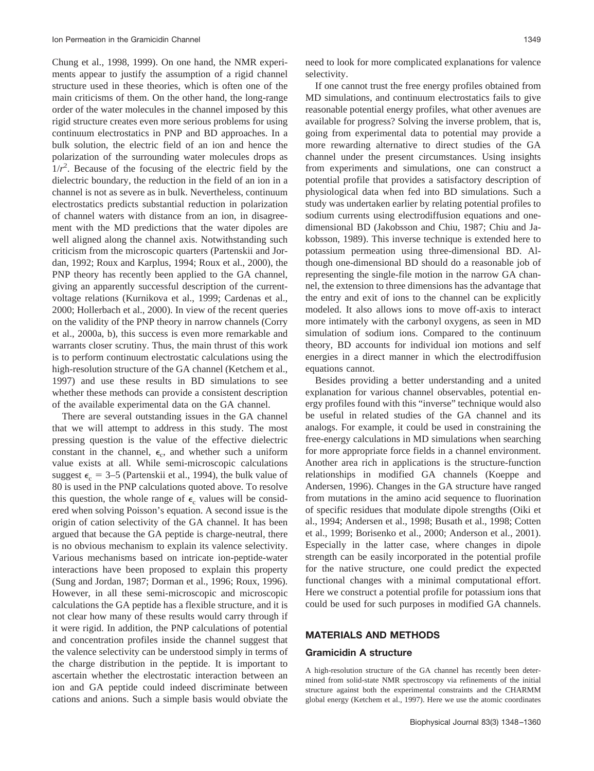Chung et al., 1998, 1999). On one hand, the NMR experiments appear to justify the assumption of a rigid channel structure used in these theories, which is often one of the main criticisms of them. On the other hand, the long-range order of the water molecules in the channel imposed by this rigid structure creates even more serious problems for using continuum electrostatics in PNP and BD approaches. In a bulk solution, the electric field of an ion and hence the polarization of the surrounding water molecules drops as  $1/r^2$ . Because of the focusing of the electric field by the dielectric boundary, the reduction in the field of an ion in a channel is not as severe as in bulk. Nevertheless, continuum electrostatics predicts substantial reduction in polarization of channel waters with distance from an ion, in disagreement with the MD predictions that the water dipoles are well aligned along the channel axis. Notwithstanding such criticism from the microscopic quarters (Partenskii and Jordan, 1992; Roux and Karplus, 1994; Roux et al., 2000), the PNP theory has recently been applied to the GA channel, giving an apparently successful description of the currentvoltage relations (Kurnikova et al., 1999; Cardenas et al., 2000; Hollerbach et al., 2000). In view of the recent queries on the validity of the PNP theory in narrow channels (Corry et al., 2000a, b), this success is even more remarkable and warrants closer scrutiny. Thus, the main thrust of this work is to perform continuum electrostatic calculations using the high-resolution structure of the GA channel (Ketchem et al., 1997) and use these results in BD simulations to see whether these methods can provide a consistent description of the available experimental data on the GA channel.

There are several outstanding issues in the GA channel that we will attempt to address in this study. The most pressing question is the value of the effective dielectric constant in the channel,  $\epsilon_c$ , and whether such a uniform value exists at all. While semi-microscopic calculations suggest  $\epsilon_c = 3-5$  (Partenskii et al., 1994), the bulk value of 80 is used in the PNP calculations quoted above. To resolve this question, the whole range of  $\epsilon_c$  values will be considered when solving Poisson's equation. A second issue is the origin of cation selectivity of the GA channel. It has been argued that because the GA peptide is charge-neutral, there is no obvious mechanism to explain its valence selectivity. Various mechanisms based on intricate ion-peptide-water interactions have been proposed to explain this property (Sung and Jordan, 1987; Dorman et al., 1996; Roux, 1996). However, in all these semi-microscopic and microscopic calculations the GA peptide has a flexible structure, and it is not clear how many of these results would carry through if it were rigid. In addition, the PNP calculations of potential and concentration profiles inside the channel suggest that the valence selectivity can be understood simply in terms of the charge distribution in the peptide. It is important to ascertain whether the electrostatic interaction between an ion and GA peptide could indeed discriminate between cations and anions. Such a simple basis would obviate the

need to look for more complicated explanations for valence selectivity.

If one cannot trust the free energy profiles obtained from MD simulations, and continuum electrostatics fails to give reasonable potential energy profiles, what other avenues are available for progress? Solving the inverse problem, that is, going from experimental data to potential may provide a more rewarding alternative to direct studies of the GA channel under the present circumstances. Using insights from experiments and simulations, one can construct a potential profile that provides a satisfactory description of physiological data when fed into BD simulations. Such a study was undertaken earlier by relating potential profiles to sodium currents using electrodiffusion equations and onedimensional BD (Jakobsson and Chiu, 1987; Chiu and Jakobsson, 1989). This inverse technique is extended here to potassium permeation using three-dimensional BD. Although one-dimensional BD should do a reasonable job of representing the single-file motion in the narrow GA channel, the extension to three dimensions has the advantage that the entry and exit of ions to the channel can be explicitly modeled. It also allows ions to move off-axis to interact more intimately with the carbonyl oxygens, as seen in MD simulation of sodium ions. Compared to the continuum theory, BD accounts for individual ion motions and self energies in a direct manner in which the electrodiffusion equations cannot.

Besides providing a better understanding and a united explanation for various channel observables, potential energy profiles found with this "inverse" technique would also be useful in related studies of the GA channel and its analogs. For example, it could be used in constraining the free-energy calculations in MD simulations when searching for more appropriate force fields in a channel environment. Another area rich in applications is the structure-function relationships in modified GA channels (Koeppe and Andersen, 1996). Changes in the GA structure have ranged from mutations in the amino acid sequence to fluorination of specific residues that modulate dipole strengths (Oiki et al., 1994; Andersen et al., 1998; Busath et al., 1998; Cotten et al., 1999; Borisenko et al., 2000; Anderson et al., 2001). Especially in the latter case, where changes in dipole strength can be easily incorporated in the potential profile for the native structure, one could predict the expected functional changes with a minimal computational effort. Here we construct a potential profile for potassium ions that could be used for such purposes in modified GA channels.

## **MATERIALS AND METHODS**

## **Gramicidin A structure**

A high-resolution structure of the GA channel has recently been determined from solid-state NMR spectroscopy via refinements of the initial structure against both the experimental constraints and the CHARMM global energy (Ketchem et al., 1997). Here we use the atomic coordinates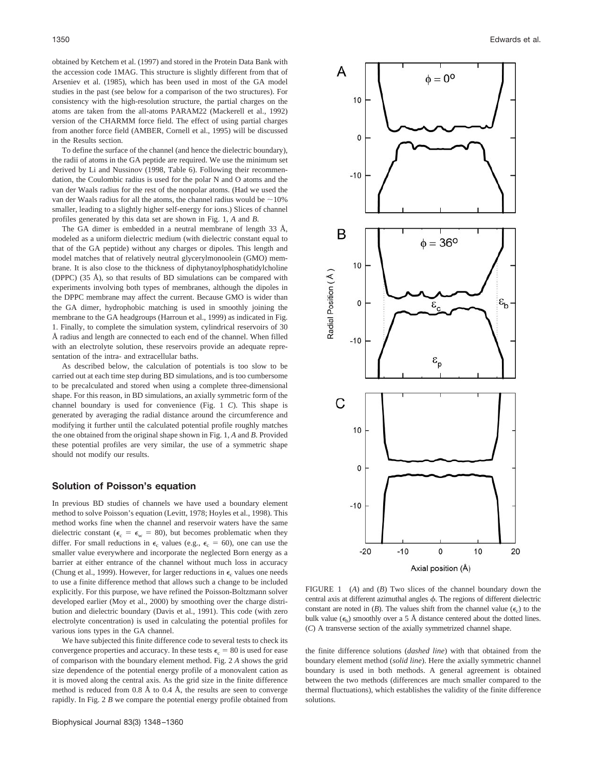obtained by Ketchem et al. (1997) and stored in the Protein Data Bank with the accession code 1MAG. This structure is slightly different from that of Arseniev et al. (1985), which has been used in most of the GA model studies in the past (see below for a comparison of the two structures). For consistency with the high-resolution structure, the partial charges on the atoms are taken from the all-atoms PARAM22 (Mackerell et al., 1992) version of the CHARMM force field. The effect of using partial charges from another force field (AMBER, Cornell et al., 1995) will be discussed in the Results section.

To define the surface of the channel (and hence the dielectric boundary), the radii of atoms in the GA peptide are required. We use the minimum set derived by Li and Nussinov (1998, Table 6). Following their recommendation, the Coulombic radius is used for the polar N and O atoms and the van der Waals radius for the rest of the nonpolar atoms. (Had we used the van der Waals radius for all the atoms, the channel radius would be  $\sim$  10% smaller, leading to a slightly higher self-energy for ions.) Slices of channel profiles generated by this data set are shown in Fig. 1, *A* and *B*.

The GA dimer is embedded in a neutral membrane of length 33 Å, modeled as a uniform dielectric medium (with dielectric constant equal to that of the GA peptide) without any charges or dipoles. This length and model matches that of relatively neutral glycerylmonoolein (GMO) membrane. It is also close to the thickness of diphytanoylphosphatidylcholine (DPPC) (35 Å), so that results of BD simulations can be compared with experiments involving both types of membranes, although the dipoles in the DPPC membrane may affect the current. Because GMO is wider than the GA dimer, hydrophobic matching is used in smoothly joining the membrane to the GA headgroups (Harroun et al., 1999) as indicated in Fig. 1. Finally, to complete the simulation system, cylindrical reservoirs of 30 Å radius and length are connected to each end of the channel. When filled with an electrolyte solution, these reservoirs provide an adequate representation of the intra- and extracellular baths.

As described below, the calculation of potentials is too slow to be carried out at each time step during BD simulations, and is too cumbersome to be precalculated and stored when using a complete three-dimensional shape. For this reason, in BD simulations, an axially symmetric form of the channel boundary is used for convenience (Fig. 1 *C*). This shape is generated by averaging the radial distance around the circumference and modifying it further until the calculated potential profile roughly matches the one obtained from the original shape shown in Fig. 1, *A* and *B*. Provided these potential profiles are very similar, the use of a symmetric shape should not modify our results.

#### **Solution of Poisson's equation**

In previous BD studies of channels we have used a boundary element method to solve Poisson's equation (Levitt, 1978; Hoyles et al., 1998). This method works fine when the channel and reservoir waters have the same dielectric constant ( $\epsilon_c = \epsilon_w = 80$ ), but becomes problematic when they differ. For small reductions in  $\epsilon_c$  values (e.g.,  $\epsilon_c = 60$ ), one can use the smaller value everywhere and incorporate the neglected Born energy as a barrier at either entrance of the channel without much loss in accuracy (Chung et al., 1999). However, for larger reductions in  $\epsilon_c$  values one needs to use a finite difference method that allows such a change to be included explicitly. For this purpose, we have refined the Poisson-Boltzmann solver developed earlier (Moy et al., 2000) by smoothing over the charge distribution and dielectric boundary (Davis et al., 1991). This code (with zero electrolyte concentration) is used in calculating the potential profiles for various ions types in the GA channel.

We have subjected this finite difference code to several tests to check its convergence properties and accuracy. In these tests  $\epsilon_c = 80$  is used for ease of comparison with the boundary element method. Fig. 2 *A* shows the grid size dependence of the potential energy profile of a monovalent cation as it is moved along the central axis. As the grid size in the finite difference method is reduced from 0.8 Å to 0.4 Å, the results are seen to converge rapidly. In Fig. 2 *B* we compare the potential energy profile obtained from



FIGURE 1 (*A*) and (*B*) Two slices of the channel boundary down the central axis at different azimuthal angles  $\phi$ . The regions of different dielectric constant are noted in (*B*). The values shift from the channel value  $(\epsilon_c)$  to the bulk value  $(\epsilon_b)$  smoothly over a 5 Å distance centered about the dotted lines. (*C*) A transverse section of the axially symmetrized channel shape.

the finite difference solutions (*dashed line*) with that obtained from the boundary element method (*solid line*). Here the axially symmetric channel boundary is used in both methods. A general agreement is obtained between the two methods (differences are much smaller compared to the thermal fluctuations), which establishes the validity of the finite difference solutions.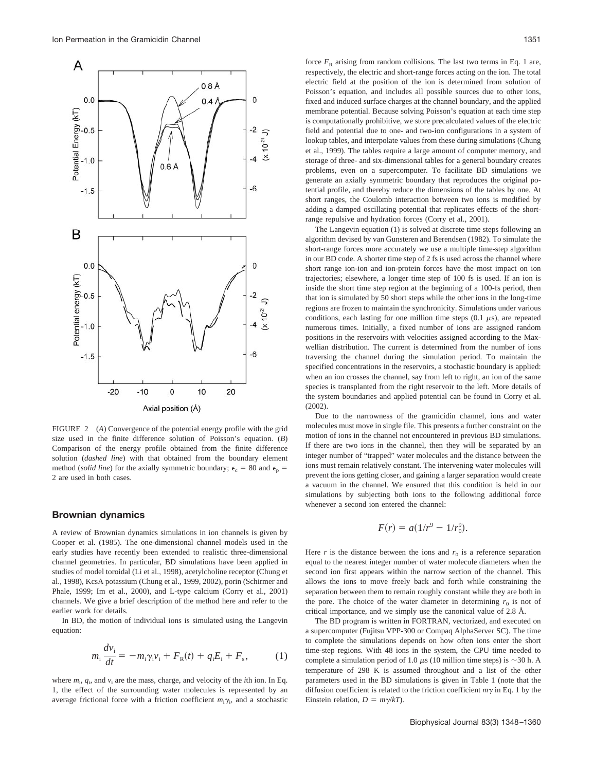

FIGURE 2 (*A*) Convergence of the potential energy profile with the grid size used in the finite difference solution of Poisson's equation. (*B*) Comparison of the energy profile obtained from the finite difference solution (*dashed line*) with that obtained from the boundary element method (*solid line*) for the axially symmetric boundary;  $\epsilon_c = 80$  and  $\epsilon_p =$ 2 are used in both cases.

#### **Brownian dynamics**

A review of Brownian dynamics simulations in ion channels is given by Cooper et al. (1985). The one-dimensional channel models used in the early studies have recently been extended to realistic three-dimensional channel geometries. In particular, BD simulations have been applied in studies of model toroidal (Li et al., 1998), acetylcholine receptor (Chung et al., 1998), KcsA potassium (Chung et al., 1999, 2002), porin (Schirmer and Phale, 1999; Im et al., 2000), and L-type calcium (Corry et al., 2001) channels. We give a brief description of the method here and refer to the earlier work for details.

In BD, the motion of individual ions is simulated using the Langevin equation:

$$
m_{i} \frac{dv_{i}}{dt} = -m_{i} \gamma_{i} v_{i} + F_{R}(t) + q_{i} E_{i} + F_{s}, \qquad (1)
$$

where  $m_i$ ,  $q_i$ , and  $v_i$  are the mass, charge, and velocity of the *i*th ion. In Eq. 1, the effect of the surrounding water molecules is represented by an average frictional force with a friction coefficient  $m_i \gamma_i$ , and a stochastic

force  $F<sub>R</sub>$  arising from random collisions. The last two terms in Eq. 1 are, respectively, the electric and short-range forces acting on the ion. The total electric field at the position of the ion is determined from solution of Poisson's equation, and includes all possible sources due to other ions, fixed and induced surface charges at the channel boundary, and the applied membrane potential. Because solving Poisson's equation at each time step is computationally prohibitive, we store precalculated values of the electric field and potential due to one- and two-ion configurations in a system of lookup tables, and interpolate values from these during simulations (Chung et al., 1999). The tables require a large amount of computer memory, and storage of three- and six-dimensional tables for a general boundary creates problems, even on a supercomputer. To facilitate BD simulations we generate an axially symmetric boundary that reproduces the original potential profile, and thereby reduce the dimensions of the tables by one. At short ranges, the Coulomb interaction between two ions is modified by adding a damped oscillating potential that replicates effects of the shortrange repulsive and hydration forces (Corry et al., 2001).

The Langevin equation (1) is solved at discrete time steps following an algorithm devised by van Gunsteren and Berendsen (1982). To simulate the short-range forces more accurately we use a multiple time-step algorithm in our BD code. A shorter time step of 2 fs is used across the channel where short range ion-ion and ion-protein forces have the most impact on ion trajectories; elsewhere, a longer time step of 100 fs is used. If an ion is inside the short time step region at the beginning of a 100-fs period, then that ion is simulated by 50 short steps while the other ions in the long-time regions are frozen to maintain the synchronicity. Simulations under various conditions, each lasting for one million time steps  $(0.1 \mu s)$ , are repeated numerous times. Initially, a fixed number of ions are assigned random positions in the reservoirs with velocities assigned according to the Maxwellian distribution. The current is determined from the number of ions traversing the channel during the simulation period. To maintain the specified concentrations in the reservoirs, a stochastic boundary is applied: when an ion crosses the channel, say from left to right, an ion of the same species is transplanted from the right reservoir to the left. More details of the system boundaries and applied potential can be found in Corry et al. (2002).

Due to the narrowness of the gramicidin channel, ions and water molecules must move in single file. This presents a further constraint on the motion of ions in the channel not encountered in previous BD simulations. If there are two ions in the channel, then they will be separated by an integer number of "trapped" water molecules and the distance between the ions must remain relatively constant. The intervening water molecules will prevent the ions getting closer, and gaining a larger separation would create a vacuum in the channel. We ensured that this condition is held in our simulations by subjecting both ions to the following additional force whenever a second ion entered the channel:

$$
F(r) = a(1/r^9 - 1/r_0^9).
$$

Here *r* is the distance between the ions and  $r_0$  is a reference separation equal to the nearest integer number of water molecule diameters when the second ion first appears within the narrow section of the channel. This allows the ions to move freely back and forth while constraining the separation between them to remain roughly constant while they are both in the pore. The choice of the water diameter in determining  $r_0$  is not of critical importance, and we simply use the canonical value of 2.8 Å.

The BD program is written in FORTRAN, vectorized, and executed on a supercomputer (Fujitsu VPP-300 or Compaq AlphaServer SC). The time to complete the simulations depends on how often ions enter the short time-step regions. With 48 ions in the system, the CPU time needed to complete a simulation period of 1.0  $\mu$ s (10 million time steps) is ~30 h. A temperature of 298 K is assumed throughout and a list of the other parameters used in the BD simulations is given in Table 1 (note that the diffusion coefficient is related to the friction coefficient  $m\gamma$  in Eq. 1 by the Einstein relation,  $D = m\gamma/kT$ .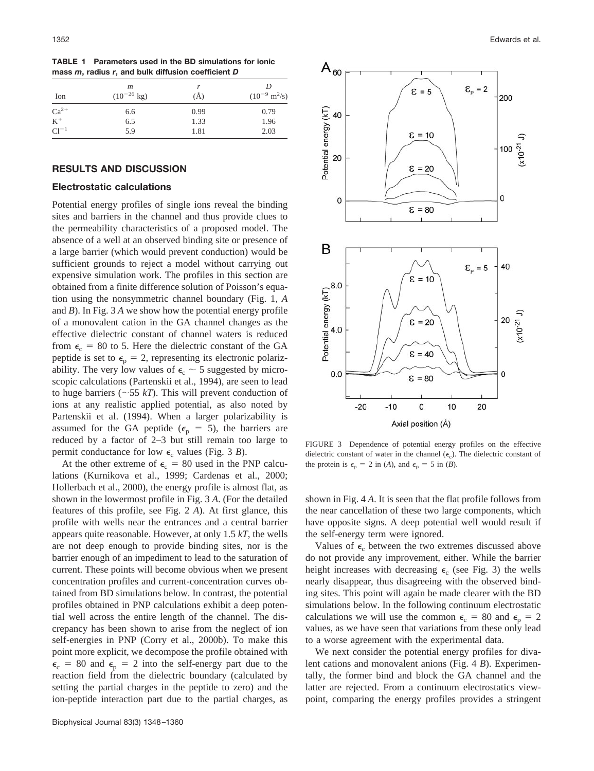**TABLE 1 Parameters used in the BD simulations for ionic mass** *m***, radius** *r***, and bulk diffusion coefficient** *D*

| Ion       | m<br>$(10^{-26} \text{ kg})$ | r<br>$\rm(\AA)$ | D<br>$(10^{-9} \text{ m}^2/\text{s})$ |
|-----------|------------------------------|-----------------|---------------------------------------|
| $Ca^{2+}$ | 6.6                          | 0.99            | 0.79                                  |
| $K^+$     | 6.5                          | 1.33            | 1.96                                  |
| $Cl^{-1}$ | 5.9                          | 1.81            | 2.03                                  |

#### **RESULTS AND DISCUSSION**

#### **Electrostatic calculations**

Potential energy profiles of single ions reveal the binding sites and barriers in the channel and thus provide clues to the permeability characteristics of a proposed model. The absence of a well at an observed binding site or presence of a large barrier (which would prevent conduction) would be sufficient grounds to reject a model without carrying out expensive simulation work. The profiles in this section are obtained from a finite difference solution of Poisson's equation using the nonsymmetric channel boundary (Fig. 1, *A* and *B*). In Fig. 3 *A* we show how the potential energy profile of a monovalent cation in the GA channel changes as the effective dielectric constant of channel waters is reduced from  $\epsilon_c = 80$  to 5. Here the dielectric constant of the GA peptide is set to  $\epsilon_p = 2$ , representing its electronic polarizability. The very low values of  $\epsilon_c \sim 5$  suggested by microscopic calculations (Partenskii et al., 1994), are seen to lead to huge barriers ( $\sim$  55 *kT*). This will prevent conduction of ions at any realistic applied potential, as also noted by Partenskii et al. (1994). When a larger polarizability is assumed for the GA peptide ( $\epsilon_p = 5$ ), the barriers are reduced by a factor of 2–3 but still remain too large to permit conductance for low  $\epsilon_c$  values (Fig. 3 *B*).

At the other extreme of  $\epsilon_c = 80$  used in the PNP calculations (Kurnikova et al., 1999; Cardenas et al., 2000; Hollerbach et al., 2000), the energy profile is almost flat, as shown in the lowermost profile in Fig. 3 *A*. (For the detailed features of this profile, see Fig. 2 *A*). At first glance, this profile with wells near the entrances and a central barrier appears quite reasonable. However, at only 1.5 *kT*, the wells are not deep enough to provide binding sites, nor is the barrier enough of an impediment to lead to the saturation of current. These points will become obvious when we present concentration profiles and current-concentration curves obtained from BD simulations below. In contrast, the potential profiles obtained in PNP calculations exhibit a deep potential well across the entire length of the channel. The discrepancy has been shown to arise from the neglect of ion self-energies in PNP (Corry et al., 2000b). To make this point more explicit, we decompose the profile obtained with  $\epsilon_{\rm c}$  = 80 and  $\epsilon_{\rm p}$  = 2 into the self-energy part due to the reaction field from the dielectric boundary (calculated by setting the partial charges in the peptide to zero) and the ion-peptide interaction part due to the partial charges, as



FIGURE 3 Dependence of potential energy profiles on the effective dielectric constant of water in the channel  $(\epsilon_c)$ . The dielectric constant of the protein is  $\epsilon_p = 2$  in (*A*), and  $\epsilon_p = 5$  in (*B*).

shown in Fig. 4 *A*. It is seen that the flat profile follows from the near cancellation of these two large components, which have opposite signs. A deep potential well would result if the self-energy term were ignored.

Values of  $\epsilon_c$  between the two extremes discussed above do not provide any improvement, either. While the barrier height increases with decreasing  $\epsilon$ <sub>c</sub> (see Fig. 3) the wells nearly disappear, thus disagreeing with the observed binding sites. This point will again be made clearer with the BD simulations below. In the following continuum electrostatic calculations we will use the common  $\epsilon_c = 80$  and  $\epsilon_p = 2$ values, as we have seen that variations from these only lead to a worse agreement with the experimental data.

We next consider the potential energy profiles for divalent cations and monovalent anions (Fig. 4 *B*). Experimentally, the former bind and block the GA channel and the latter are rejected. From a continuum electrostatics viewpoint, comparing the energy profiles provides a stringent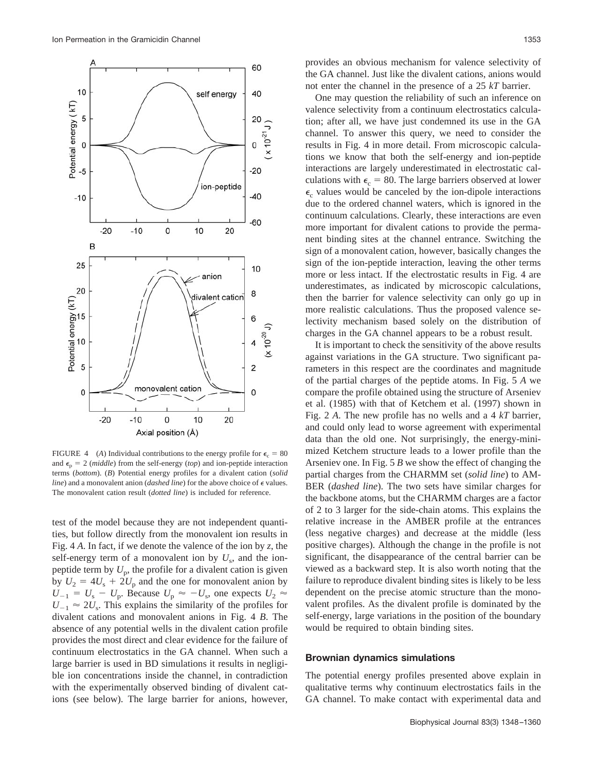

FIGURE 4 (A) Individual contributions to the energy profile for  $\epsilon_c = 80$ and  $\epsilon_p = 2$  (*middle*) from the self-energy (*top*) and ion-peptide interaction terms (*bottom*). (*B*) Potential energy profiles for a divalent cation (*solid*  $line)$  and a monovalent anion (*dashed line*) for the above choice of  $\epsilon$  values. The monovalent cation result (*dotted line*) is included for reference.

test of the model because they are not independent quantities, but follow directly from the monovalent ion results in Fig. 4 *A*. In fact, if we denote the valence of the ion by *z*, the self-energy term of a monovalent ion by  $U_s$ , and the ionpeptide term by  $U_p$ , the profile for a divalent cation is given by  $U_2 = 4U_s + 2U_p$  and the one for monovalent anion by  $U_{-1} = U_s - U_p$ . Because  $U_p \approx -U_s$ , one expects  $U_2 \approx$  $U_{-1} \approx 2U_s$ . This explains the similarity of the profiles for divalent cations and monovalent anions in Fig. 4 *B*. The absence of any potential wells in the divalent cation profile provides the most direct and clear evidence for the failure of continuum electrostatics in the GA channel. When such a large barrier is used in BD simulations it results in negligible ion concentrations inside the channel, in contradiction with the experimentally observed binding of divalent cations (see below). The large barrier for anions, however,

provides an obvious mechanism for valence selectivity of the GA channel. Just like the divalent cations, anions would not enter the channel in the presence of a 25 *kT* barrier.

One may question the reliability of such an inference on valence selectivity from a continuum electrostatics calculation; after all, we have just condemned its use in the GA channel. To answer this query, we need to consider the results in Fig. 4 in more detail. From microscopic calculations we know that both the self-energy and ion-peptide interactions are largely underestimated in electrostatic calculations with  $\epsilon_{\rm c} = 80$ . The large barriers observed at lower  $\epsilon$ <sub>c</sub> values would be canceled by the ion-dipole interactions due to the ordered channel waters, which is ignored in the continuum calculations. Clearly, these interactions are even more important for divalent cations to provide the permanent binding sites at the channel entrance. Switching the sign of a monovalent cation, however, basically changes the sign of the ion-peptide interaction, leaving the other terms more or less intact. If the electrostatic results in Fig. 4 are underestimates, as indicated by microscopic calculations, then the barrier for valence selectivity can only go up in more realistic calculations. Thus the proposed valence selectivity mechanism based solely on the distribution of charges in the GA channel appears to be a robust result.

It is important to check the sensitivity of the above results against variations in the GA structure. Two significant parameters in this respect are the coordinates and magnitude of the partial charges of the peptide atoms. In Fig. 5 *A* we compare the profile obtained using the structure of Arseniev et al. (1985) with that of Ketchem et al. (1997) shown in Fig. 2 *A*. The new profile has no wells and a 4 *kT* barrier, and could only lead to worse agreement with experimental data than the old one. Not surprisingly, the energy-minimized Ketchem structure leads to a lower profile than the Arseniev one. In Fig. 5 *B* we show the effect of changing the partial charges from the CHARMM set (*solid line*) to AM-BER (*dashed line*). The two sets have similar charges for the backbone atoms, but the CHARMM charges are a factor of 2 to 3 larger for the side-chain atoms. This explains the relative increase in the AMBER profile at the entrances (less negative charges) and decrease at the middle (less positive charges). Although the change in the profile is not significant, the disappearance of the central barrier can be viewed as a backward step. It is also worth noting that the failure to reproduce divalent binding sites is likely to be less dependent on the precise atomic structure than the monovalent profiles. As the divalent profile is dominated by the self-energy, large variations in the position of the boundary would be required to obtain binding sites.

### **Brownian dynamics simulations**

The potential energy profiles presented above explain in qualitative terms why continuum electrostatics fails in the GA channel. To make contact with experimental data and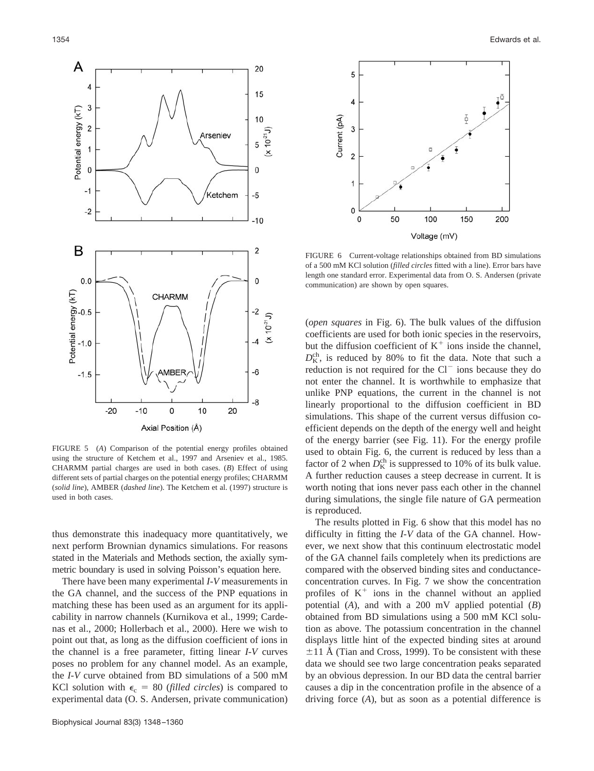

FIGURE 5 (*A*) Comparison of the potential energy profiles obtained using the structure of Ketchem et al., 1997 and Arseniev et al., 1985. CHARMM partial charges are used in both cases. (*B*) Effect of using different sets of partial charges on the potential energy profiles; CHARMM (*solid line*), AMBER (*dashed line*). The Ketchem et al. (1997) structure is used in both cases.

thus demonstrate this inadequacy more quantitatively, we next perform Brownian dynamics simulations. For reasons stated in the Materials and Methods section, the axially symmetric boundary is used in solving Poisson's equation here.

There have been many experimental *I*-*V* measurements in the GA channel, and the success of the PNP equations in matching these has been used as an argument for its applicability in narrow channels (Kurnikova et al., 1999; Cardenas et al., 2000; Hollerbach et al., 2000). Here we wish to point out that, as long as the diffusion coefficient of ions in the channel is a free parameter, fitting linear *I*-*V* curves poses no problem for any channel model. As an example, the *I*-*V* curve obtained from BD simulations of a 500 mM KCl solution with  $\epsilon_c = 80$  (*filled circles*) is compared to experimental data (O. S. Andersen, private communication)



FIGURE 6 Current-voltage relationships obtained from BD simulations of a 500 mM KCl solution (*filled circles* fitted with a line). Error bars have length one standard error. Experimental data from O. S. Andersen (private communication) are shown by open squares.

(*open squares* in Fig. 6). The bulk values of the diffusion coefficients are used for both ionic species in the reservoirs, but the diffusion coefficient of  $K^+$  ions inside the channel,  $D_{\rm K}^{\rm ch}$ , is reduced by 80% to fit the data. Note that such a reduction is not required for the  $Cl^-$  ions because they do not enter the channel. It is worthwhile to emphasize that unlike PNP equations, the current in the channel is not linearly proportional to the diffusion coefficient in BD simulations. This shape of the current versus diffusion coefficient depends on the depth of the energy well and height of the energy barrier (see Fig. 11). For the energy profile used to obtain Fig. 6, the current is reduced by less than a factor of 2 when  $D_K^{\text{ch}}$  is suppressed to 10% of its bulk value. A further reduction causes a steep decrease in current. It is worth noting that ions never pass each other in the channel during simulations, the single file nature of GA permeation is reproduced.

The results plotted in Fig. 6 show that this model has no difficulty in fitting the *I*-*V* data of the GA channel. However, we next show that this continuum electrostatic model of the GA channel fails completely when its predictions are compared with the observed binding sites and conductanceconcentration curves. In Fig. 7 we show the concentration profiles of  $K<sup>+</sup>$  ions in the channel without an applied potential (*A*), and with a 200 mV applied potential (*B*) obtained from BD simulations using a 500 mM KCl solution as above. The potassium concentration in the channel displays little hint of the expected binding sites at around  $\pm$ 11 Å (Tian and Cross, 1999). To be consistent with these data we should see two large concentration peaks separated by an obvious depression. In our BD data the central barrier causes a dip in the concentration profile in the absence of a driving force (*A*), but as soon as a potential difference is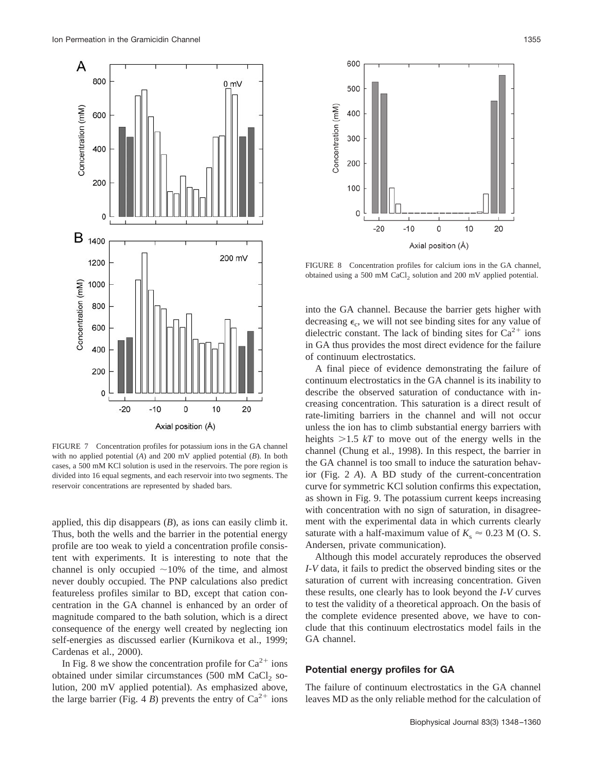

FIGURE 7 Concentration profiles for potassium ions in the GA channel with no applied potential (*A*) and 200 mV applied potential (*B*). In both cases, a 500 mM KCl solution is used in the reservoirs. The pore region is divided into 16 equal segments, and each reservoir into two segments. The reservoir concentrations are represented by shaded bars.

applied, this dip disappears (*B*), as ions can easily climb it. Thus, both the wells and the barrier in the potential energy profile are too weak to yield a concentration profile consistent with experiments. It is interesting to note that the channel is only occupied  $\sim$ 10% of the time, and almost never doubly occupied. The PNP calculations also predict featureless profiles similar to BD, except that cation concentration in the GA channel is enhanced by an order of magnitude compared to the bath solution, which is a direct consequence of the energy well created by neglecting ion self-energies as discussed earlier (Kurnikova et al., 1999; Cardenas et al., 2000).

In Fig. 8 we show the concentration profile for  $Ca^{2+}$  ions obtained under similar circumstances (500 mM  $CaCl<sub>2</sub>$  solution, 200 mV applied potential). As emphasized above, the large barrier (Fig. 4 *B*) prevents the entry of  $Ca^{2+}$  ions



FIGURE 8 Concentration profiles for calcium ions in the GA channel, obtained using a 500 mM CaCl<sub>2</sub> solution and 200 mV applied potential.

into the GA channel. Because the barrier gets higher with decreasing  $\epsilon_c$ , we will not see binding sites for any value of dielectric constant. The lack of binding sites for  $Ca^{2+}$  ions in GA thus provides the most direct evidence for the failure of continuum electrostatics.

A final piece of evidence demonstrating the failure of continuum electrostatics in the GA channel is its inability to describe the observed saturation of conductance with increasing concentration. This saturation is a direct result of rate-limiting barriers in the channel and will not occur unless the ion has to climb substantial energy barriers with heights  $>1.5$  kT to move out of the energy wells in the channel (Chung et al., 1998). In this respect, the barrier in the GA channel is too small to induce the saturation behavior (Fig. 2 *A*). A BD study of the current-concentration curve for symmetric KCl solution confirms this expectation, as shown in Fig. 9. The potassium current keeps increasing with concentration with no sign of saturation, in disagreement with the experimental data in which currents clearly saturate with a half-maximum value of  $K_s \approx 0.23$  M (O. S. Andersen, private communication).

Although this model accurately reproduces the observed *I*-*V* data, it fails to predict the observed binding sites or the saturation of current with increasing concentration. Given these results, one clearly has to look beyond the *I*-*V* curves to test the validity of a theoretical approach. On the basis of the complete evidence presented above, we have to conclude that this continuum electrostatics model fails in the GA channel.

# **Potential energy profiles for GA**

The failure of continuum electrostatics in the GA channel leaves MD as the only reliable method for the calculation of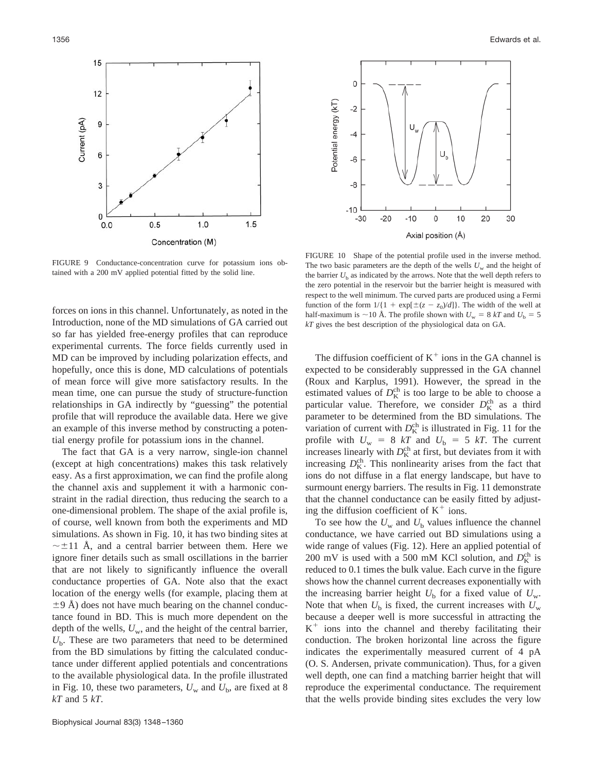

FIGURE 9 Conductance-concentration curve for potassium ions obtained with a 200 mV applied potential fitted by the solid line.

forces on ions in this channel. Unfortunately, as noted in the Introduction, none of the MD simulations of GA carried out so far has yielded free-energy profiles that can reproduce experimental currents. The force fields currently used in MD can be improved by including polarization effects, and hopefully, once this is done, MD calculations of potentials of mean force will give more satisfactory results. In the mean time, one can pursue the study of structure-function relationships in GA indirectly by "guessing" the potential profile that will reproduce the available data. Here we give an example of this inverse method by constructing a potential energy profile for potassium ions in the channel.

The fact that GA is a very narrow, single-ion channel (except at high concentrations) makes this task relatively easy. As a first approximation, we can find the profile along the channel axis and supplement it with a harmonic constraint in the radial direction, thus reducing the search to a one-dimensional problem. The shape of the axial profile is, of course, well known from both the experiments and MD simulations. As shown in Fig. 10, it has two binding sites at  $\sim \pm 11$  Å, and a central barrier between them. Here we ignore finer details such as small oscillations in the barrier that are not likely to significantly influence the overall conductance properties of GA. Note also that the exact location of the energy wells (for example, placing them at  $\pm$ 9 Å) does not have much bearing on the channel conductance found in BD. This is much more dependent on the depth of the wells,  $U_w$ , and the height of the central barrier,  $U<sub>b</sub>$ . These are two parameters that need to be determined from the BD simulations by fitting the calculated conductance under different applied potentials and concentrations to the available physiological data. In the profile illustrated in Fig. 10, these two parameters,  $U_w$  and  $U_b$ , are fixed at 8 *kT* and 5 *kT*.



FIGURE 10 Shape of the potential profile used in the inverse method. The two basic parameters are the depth of the wells  $U_w$  and the height of the barrier  $U<sub>b</sub>$  as indicated by the arrows. Note that the well depth refers to the zero potential in the reservoir but the barrier height is measured with respect to the well minimum. The curved parts are produced using a Fermi function of the form  $1/{1 + \exp[\pm (z - z_0)/d]}$ . The width of the well at half-maximum is  $\sim$  10 Å. The profile shown with  $U_w = 8$  kT and  $U_b = 5$ *kT* gives the best description of the physiological data on GA.

The diffusion coefficient of  $K^+$  ions in the GA channel is expected to be considerably suppressed in the GA channel (Roux and Karplus, 1991). However, the spread in the estimated values of  $D_K^{\text{ch}}$  is too large to be able to choose a particular value. Therefore, we consider  $D_K^{\text{ch}}$  as a third parameter to be determined from the BD simulations. The variation of current with  $D_K^{\text{ch}}$  is illustrated in Fig. 11 for the profile with  $U_w = 8$  kT and  $U_b = 5$  kT. The current increases linearly with  $D_K^{\text{ch}}$  at first, but deviates from it with increasing  $D_K^{\text{ch}}$ . This nonlinearity arises from the fact that ions do not diffuse in a flat energy landscape, but have to surmount energy barriers. The results in Fig. 11 demonstrate that the channel conductance can be easily fitted by adjusting the diffusion coefficient of  $K^+$  ions.

To see how the  $U_w$  and  $U_b$  values influence the channel conductance, we have carried out BD simulations using a wide range of values (Fig. 12). Here an applied potential of 200 mV is used with a 500 mM KCl solution, and  $D_K^{\text{ch}}$  is reduced to 0.1 times the bulk value. Each curve in the figure shows how the channel current decreases exponentially with the increasing barrier height  $U<sub>b</sub>$  for a fixed value of  $U<sub>w</sub>$ . Note that when  $U<sub>b</sub>$  is fixed, the current increases with  $U<sub>w</sub>$ because a deeper well is more successful in attracting the  $K<sup>+</sup>$  ions into the channel and thereby facilitating their conduction. The broken horizontal line across the figure indicates the experimentally measured current of 4 pA (O. S. Andersen, private communication). Thus, for a given well depth, one can find a matching barrier height that will reproduce the experimental conductance. The requirement that the wells provide binding sites excludes the very low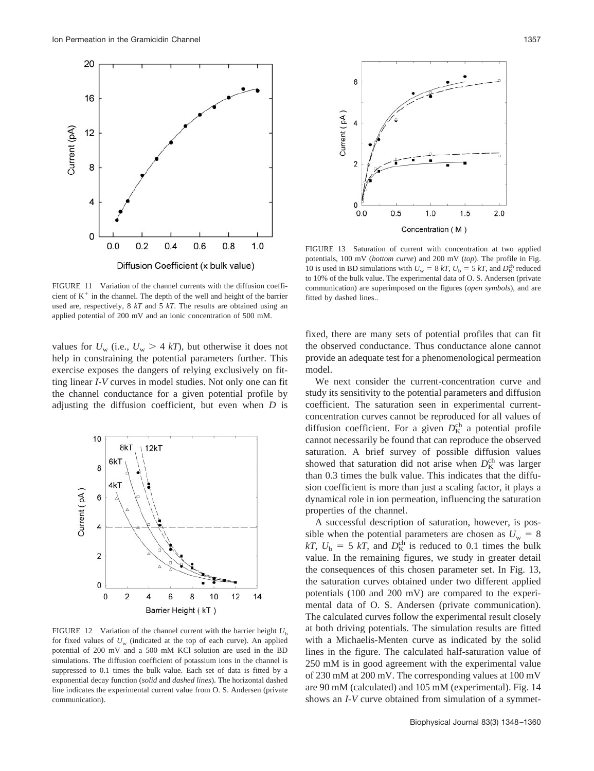

FIGURE 11 Variation of the channel currents with the diffusion coefficient of  $K^+$  in the channel. The depth of the well and height of the barrier used are, respectively, 8 *kT* and 5 *kT*. The results are obtained using an applied potential of 200 mV and an ionic concentration of 500 mM.

values for  $U_w$  (i.e.,  $U_w > 4kT$ ), but otherwise it does not help in constraining the potential parameters further. This exercise exposes the dangers of relying exclusively on fitting linear *I*-*V* curves in model studies. Not only one can fit the channel conductance for a given potential profile by adjusting the diffusion coefficient, but even when *D* is



FIGURE 12 Variation of the channel current with the barrier height *U*<sup>b</sup> for fixed values of  $U_w$  (indicated at the top of each curve). An applied potential of 200 mV and a 500 mM KCl solution are used in the BD simulations. The diffusion coefficient of potassium ions in the channel is suppressed to 0.1 times the bulk value. Each set of data is fitted by a exponential decay function (*solid* and *dashed lines*). The horizontal dashed line indicates the experimental current value from O. S. Andersen (private communication).



FIGURE 13 Saturation of current with concentration at two applied potentials, 100 mV (*bottom curve*) and 200 mV (*top*). The profile in Fig. 10 is used in BD simulations with  $U_w = 8 kT$ ,  $U_b = 5 kT$ , and  $D_K^{\text{ch}}$  reduced to 10% of the bulk value. The experimental data of O. S. Andersen (private communication) are superimposed on the figures (*open symbols*), and are fitted by dashed lines..

fixed, there are many sets of potential profiles that can fit the observed conductance. Thus conductance alone cannot provide an adequate test for a phenomenological permeation model.

We next consider the current-concentration curve and study its sensitivity to the potential parameters and diffusion coefficient. The saturation seen in experimental currentconcentration curves cannot be reproduced for all values of diffusion coefficient. For a given  $D_K^{\text{ch}}$  a potential profile cannot necessarily be found that can reproduce the observed saturation. A brief survey of possible diffusion values showed that saturation did not arise when  $D_K^{\text{ch}}$  was larger than 0.3 times the bulk value. This indicates that the diffusion coefficient is more than just a scaling factor, it plays a dynamical role in ion permeation, influencing the saturation properties of the channel.

A successful description of saturation, however, is possible when the potential parameters are chosen as  $U_w = 8$  $kT$ ,  $U<sub>b</sub> = 5 kT$ , and  $D<sub>K</sub><sup>ch</sup>$  is reduced to 0.1 times the bulk value. In the remaining figures, we study in greater detail the consequences of this chosen parameter set. In Fig. 13, the saturation curves obtained under two different applied potentials (100 and 200 mV) are compared to the experimental data of O. S. Andersen (private communication). The calculated curves follow the experimental result closely at both driving potentials. The simulation results are fitted with a Michaelis-Menten curve as indicated by the solid lines in the figure. The calculated half-saturation value of 250 mM is in good agreement with the experimental value of 230 mM at 200 mV. The corresponding values at 100 mV are 90 mM (calculated) and 105 mM (experimental). Fig. 14 shows an *I*-*V* curve obtained from simulation of a symmet-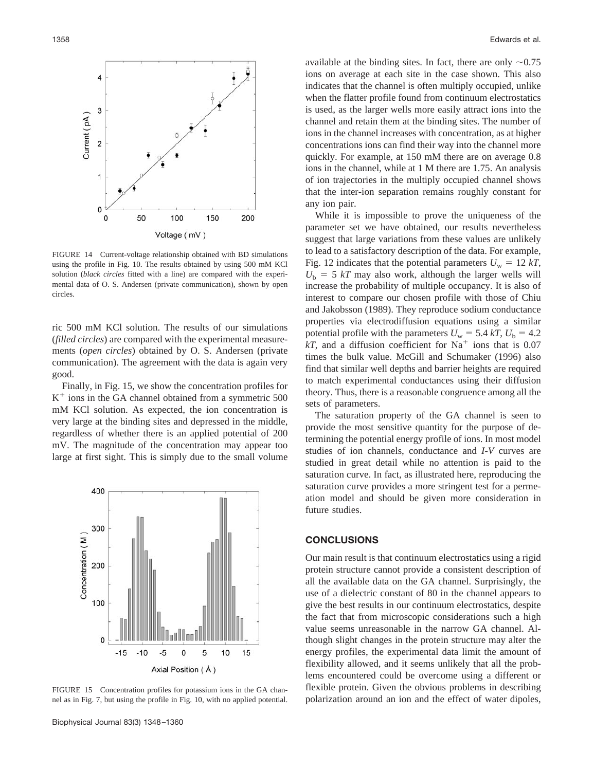

FIGURE 14 Current-voltage relationship obtained with BD simulations using the profile in Fig. 10. The results obtained by using 500 mM KCl solution (*black circles* fitted with a line) are compared with the experimental data of O. S. Andersen (private communication), shown by open circles.

ric 500 mM KCl solution. The results of our simulations (*filled circles*) are compared with the experimental measurements (*open circles*) obtained by O. S. Andersen (private communication). The agreement with the data is again very good.

Finally, in Fig. 15, we show the concentration profiles for  $K^+$  ions in the GA channel obtained from a symmetric 500 mM KCl solution. As expected, the ion concentration is very large at the binding sites and depressed in the middle, regardless of whether there is an applied potential of 200 mV. The magnitude of the concentration may appear too large at first sight. This is simply due to the small volume



FIGURE 15 Concentration profiles for potassium ions in the GA channel as in Fig. 7, but using the profile in Fig. 10, with no applied potential.

available at the binding sites. In fact, there are only  $\sim 0.75$ ions on average at each site in the case shown. This also indicates that the channel is often multiply occupied, unlike when the flatter profile found from continuum electrostatics is used, as the larger wells more easily attract ions into the channel and retain them at the binding sites. The number of ions in the channel increases with concentration, as at higher concentrations ions can find their way into the channel more quickly. For example, at 150 mM there are on average 0.8 ions in the channel, while at 1 M there are 1.75. An analysis of ion trajectories in the multiply occupied channel shows that the inter-ion separation remains roughly constant for any ion pair.

While it is impossible to prove the uniqueness of the parameter set we have obtained, our results nevertheless suggest that large variations from these values are unlikely to lead to a satisfactory description of the data. For example, Fig. 12 indicates that the potential parameters  $U_w = 12 kT$ ,  $U<sub>b</sub> = 5 kT$  may also work, although the larger wells will increase the probability of multiple occupancy. It is also of interest to compare our chosen profile with those of Chiu and Jakobsson (1989). They reproduce sodium conductance properties via electrodiffusion equations using a similar potential profile with the parameters  $U_w = 5.4 kT$ ,  $U_b = 4.2$  $kT$ , and a diffusion coefficient for Na<sup>+</sup> ions that is 0.07 times the bulk value. McGill and Schumaker (1996) also find that similar well depths and barrier heights are required to match experimental conductances using their diffusion theory. Thus, there is a reasonable congruence among all the sets of parameters.

The saturation property of the GA channel is seen to provide the most sensitive quantity for the purpose of determining the potential energy profile of ions. In most model studies of ion channels, conductance and *I*-*V* curves are studied in great detail while no attention is paid to the saturation curve. In fact, as illustrated here, reproducing the saturation curve provides a more stringent test for a permeation model and should be given more consideration in future studies.

# **CONCLUSIONS**

Our main result is that continuum electrostatics using a rigid protein structure cannot provide a consistent description of all the available data on the GA channel. Surprisingly, the use of a dielectric constant of 80 in the channel appears to give the best results in our continuum electrostatics, despite the fact that from microscopic considerations such a high value seems unreasonable in the narrow GA channel. Although slight changes in the protein structure may alter the energy profiles, the experimental data limit the amount of flexibility allowed, and it seems unlikely that all the problems encountered could be overcome using a different or flexible protein. Given the obvious problems in describing polarization around an ion and the effect of water dipoles,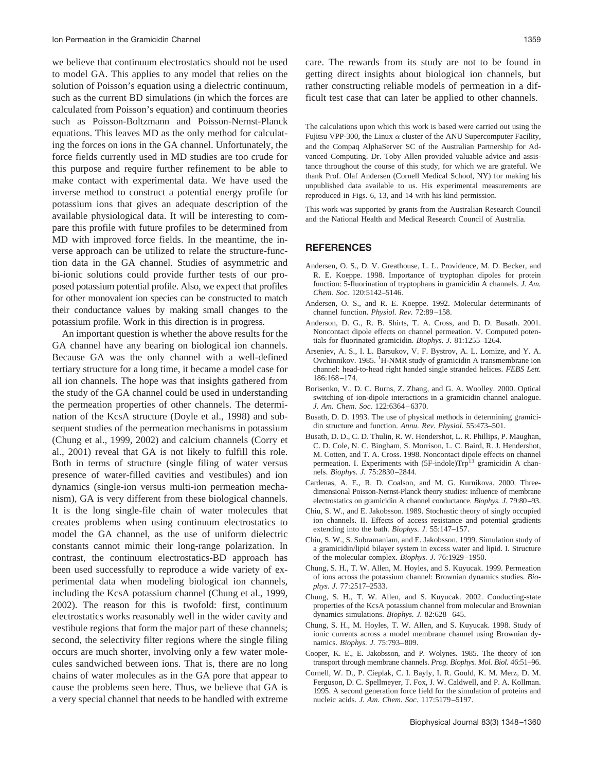we believe that continuum electrostatics should not be used to model GA. This applies to any model that relies on the solution of Poisson's equation using a dielectric continuum, such as the current BD simulations (in which the forces are calculated from Poisson's equation) and continuum theories such as Poisson-Boltzmann and Poisson-Nernst-Planck equations. This leaves MD as the only method for calculating the forces on ions in the GA channel. Unfortunately, the force fields currently used in MD studies are too crude for this purpose and require further refinement to be able to make contact with experimental data. We have used the inverse method to construct a potential energy profile for potassium ions that gives an adequate description of the available physiological data. It will be interesting to compare this profile with future profiles to be determined from MD with improved force fields. In the meantime, the inverse approach can be utilized to relate the structure-function data in the GA channel. Studies of asymmetric and bi-ionic solutions could provide further tests of our proposed potassium potential profile. Also, we expect that profiles for other monovalent ion species can be constructed to match their conductance values by making small changes to the potassium profile. Work in this direction is in progress.

An important question is whether the above results for the GA channel have any bearing on biological ion channels. Because GA was the only channel with a well-defined tertiary structure for a long time, it became a model case for all ion channels. The hope was that insights gathered from the study of the GA channel could be used in understanding the permeation properties of other channels. The determination of the KcsA structure (Doyle et al., 1998) and subsequent studies of the permeation mechanisms in potassium (Chung et al., 1999, 2002) and calcium channels (Corry et al., 2001) reveal that GA is not likely to fulfill this role. Both in terms of structure (single filing of water versus presence of water-filled cavities and vestibules) and ion dynamics (single-ion versus multi-ion permeation mechanism), GA is very different from these biological channels. It is the long single-file chain of water molecules that creates problems when using continuum electrostatics to model the GA channel, as the use of uniform dielectric constants cannot mimic their long-range polarization. In contrast, the continuum electrostatics-BD approach has been used successfully to reproduce a wide variety of experimental data when modeling biological ion channels, including the KcsA potassium channel (Chung et al., 1999, 2002). The reason for this is twofold: first, continuum electrostatics works reasonably well in the wider cavity and vestibule regions that form the major part of these channels; second, the selectivity filter regions where the single filing occurs are much shorter, involving only a few water molecules sandwiched between ions. That is, there are no long chains of water molecules as in the GA pore that appear to cause the problems seen here. Thus, we believe that GA is a very special channel that needs to be handled with extreme care. The rewards from its study are not to be found in getting direct insights about biological ion channels, but rather constructing reliable models of permeation in a difficult test case that can later be applied to other channels.

The calculations upon which this work is based were carried out using the Fujitsu VPP-300, the Linux  $\alpha$  cluster of the ANU Supercomputer Facility, and the Compaq AlphaServer SC of the Australian Partnership for Advanced Computing. Dr. Toby Allen provided valuable advice and assistance throughout the course of this study, for which we are grateful. We thank Prof. Olaf Andersen (Cornell Medical School, NY) for making his unpublished data available to us. His experimental measurements are reproduced in Figs. 6, 13, and 14 with his kind permission.

This work was supported by grants from the Australian Research Council and the National Health and Medical Research Council of Australia.

# **REFERENCES**

- Andersen, O. S., D. V. Greathouse, L. L. Providence, M. D. Becker, and R. E. Koeppe. 1998. Importance of tryptophan dipoles for protein function: 5-fluorination of tryptophans in gramicidin A channels. *J. Am. Chem. Soc.* 120:5142–5146.
- Andersen, O. S., and R. E. Koeppe. 1992. Molecular determinants of channel function. *Physiol. Rev.* 72:89–158.
- Anderson, D. G., R. B. Shirts, T. A. Cross, and D. D. Busath. 2001. Noncontact dipole effects on channel permeation. V. Computed potentials for fluorinated gramicidin. *Biophys. J.* 81:1255–1264.
- Arseniev, A. S., I. L. Barsukov, V. F. Bystrov, A. L. Lomize, and Y. A. Ovchinnikov. 1985. <sup>1</sup>H-NMR study of gramicidin A transmembrane ion channel: head-to-head right handed single stranded helices. *FEBS Lett.* 186:168–174.
- Borisenko, V., D. C. Burns, Z. Zhang, and G. A. Woolley. 2000. Optical switching of ion-dipole interactions in a gramicidin channel analogue. *J. Am. Chem. Soc.* 122:6364–6370.
- Busath, D. D. 1993. The use of physical methods in determining gramicidin structure and function. *Annu. Rev. Physiol.* 55:473–501.
- Busath, D. D., C. D. Thulin, R. W. Hendershot, L. R. Phillips, P. Maughan, C. D. Cole, N. C. Bingham, S. Morrison, L. C. Baird, R. J. Hendershot, M. Cotten, and T. A. Cross. 1998. Noncontact dipole effects on channel permeation. I. Experiments with (5F-indole)Trp<sup>13</sup> gramicidin A channels. *Biophys. J.* 75:2830–2844.
- Cardenas, A. E., R. D. Coalson, and M. G. Kurnikova. 2000. Threedimensional Poisson-Nernst-Planck theory studies: influence of membrane electrostatics on gramicidin A channel conductance. *Biophys. J.* 79:80–93.
- Chiu, S. W., and E. Jakobsson. 1989. Stochastic theory of singly occupied ion channels. II. Effects of access resistance and potential gradients extending into the bath. *Biophys. J.* 55:147–157.
- Chiu, S. W., S. Subramaniam, and E. Jakobsson. 1999. Simulation study of a gramicidin/lipid bilayer system in excess water and lipid. I. Structure of the molecular complex. *Biophys. J.* 76:1929–1950.
- Chung, S. H., T. W. Allen, M. Hoyles, and S. Kuyucak. 1999. Permeation of ions across the potassium channel: Brownian dynamics studies. *Biophys. J.* 77:2517–2533.
- Chung, S. H., T. W. Allen, and S. Kuyucak. 2002. Conducting-state properties of the KcsA potassium channel from molecular and Brownian dynamics simulations. *Biophys. J.* 82:628–645.
- Chung, S. H., M. Hoyles, T. W. Allen, and S. Kuyucak. 1998. Study of ionic currents across a model membrane channel using Brownian dynamics. *Biophys. J.* 75:793–809.
- Cooper, K. E., E. Jakobsson, and P. Wolynes. 1985. The theory of ion transport through membrane channels. *Prog. Biophys. Mol. Biol.* 46:51–96.
- Cornell, W. D., P. Cieplak, C. I. Bayly, I. R. Gould, K. M. Merz, D. M. Ferguson, D. C. Spellmeyer, T. Fox, J. W. Caldwell, and P. A. Kollman. 1995. A second generation force field for the simulation of proteins and nucleic acids. *J. Am. Chem. Soc.* 117:5179–5197.